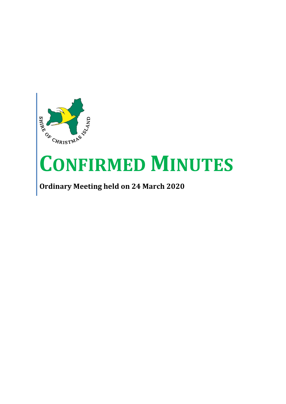

# **CONFIRMED MINUTES**

**Ordinary Meeting held on 24 March 2020**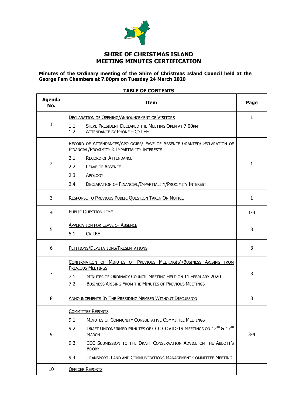

# **SHIRE OF CHRISTMAS ISLAND MEETING MINUTES CERTIFICATION**

#### **Minutes of the Ordinary meeting of the Shire of Christmas Island Council held at the George Fam Chambers at 7.00pm on Tuesday 24 March 2020**

### **TABLE OF CONTENTS**

| <b>Agenda</b><br>No. | <b>Item</b>                                                                                                             | Page         |  |  |  |  |  |
|----------------------|-------------------------------------------------------------------------------------------------------------------------|--------------|--|--|--|--|--|
|                      | <b>DECLARATION OF OPENING/ANNOUNCEMENT OF VISITORS</b>                                                                  | 1            |  |  |  |  |  |
| $\mathbf{1}$         | 1.1<br>SHIRE PRESIDENT DECLARED THE MEETING OPEN AT 7.00PM<br>1.2<br>ATTENDANCE BY PHONE - CR LEE                       |              |  |  |  |  |  |
|                      | RECORD OF ATTENDANCES/APOLOGIES/LEAVE OF ABSENCE GRANTED/DECLARATION OF<br>FINANCIAL/PROXIMITY & IMPARTIALITY INTERESTS |              |  |  |  |  |  |
|                      | 2.1<br><b>RECORD OF ATTENDANCE</b>                                                                                      |              |  |  |  |  |  |
| $\overline{2}$       | $2.2^{\circ}$<br><b>LEAVE OF ABSENCE</b>                                                                                | $\mathbf{1}$ |  |  |  |  |  |
|                      | 2.3<br>APOLOGY                                                                                                          |              |  |  |  |  |  |
|                      | 2.4<br>DECLARATION OF FINANCIAL/IMPARTIALITY/PROXIMITY INTEREST                                                         |              |  |  |  |  |  |
| 3                    | <b>RESPONSE TO PREVIOUS PUBLIC QUESTION TAKEN ON NOTICE</b>                                                             | $\mathbf{1}$ |  |  |  |  |  |
| 4                    | <b>PUBLIC QUESTION TIME</b>                                                                                             | $1 - 3$      |  |  |  |  |  |
|                      | <b>APPLICATION FOR LEAVE OF ABSENCE</b>                                                                                 |              |  |  |  |  |  |
| 5                    | 5.1<br>CR LEE                                                                                                           | 3            |  |  |  |  |  |
| 6                    | PETITIONS/DEPUTATIONS/PRESENTATIONS                                                                                     | 3            |  |  |  |  |  |
|                      | CONFIRMATION OF MINUTES OF PREVIOUS MEETING(S)/BUSINESS ARISING FROM                                                    |              |  |  |  |  |  |
| 7                    | <b>PREVIOUS MEETINGS</b>                                                                                                | 3            |  |  |  |  |  |
|                      | 7.1<br>MINUTES OF ORDINARY COUNCIL MEETING HELD ON 11 FEBRUARY 2020                                                     |              |  |  |  |  |  |
|                      | 7.2<br><b>BUSINESS ARISING FROM THE MINUTES OF PREVIOUS MEETINGS</b>                                                    |              |  |  |  |  |  |
| 8                    | ANNOUNCEMENTS BY THE PRESIDING MEMBER WITHOUT DISCUSSION                                                                | 3            |  |  |  |  |  |
|                      | <b>COMMITTEE REPORTS</b>                                                                                                |              |  |  |  |  |  |
|                      | MINUTES OF COMMUNITY CONSULTATIVE COMMITTEE MEETINGS<br>9.1                                                             |              |  |  |  |  |  |
| 9                    | DRAFT UNCONFIRMED MINUTES OF CCC COVID-19 MEETINGS ON 12TH & 17TH<br>9.2<br><b>MARCH</b>                                |              |  |  |  |  |  |
|                      | 9.3<br>CCC SUBMISSION TO THE DRAFT CONSERVATION ADVICE ON THE ABBOTT'S<br><b>BOOBY</b>                                  |              |  |  |  |  |  |
|                      | 9.4<br>TRANSPORT, LAND AND COMMUNICATIONS MANAGEMENT COMMITTEE MEETING                                                  |              |  |  |  |  |  |
| 10                   | <b>OFFICER REPORTS</b>                                                                                                  |              |  |  |  |  |  |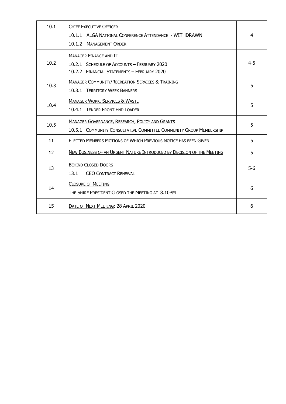| 10.1 | <b>CHIEF EXECUTIVE OFFICER</b><br>10.1.1 ALGA NATIONAL CONFERENCE ATTENDANCE - WITHDRAWN<br>10.1.2 MANAGEMENT ORDER         | 4       |
|------|-----------------------------------------------------------------------------------------------------------------------------|---------|
| 10.2 | <b>MANAGER FINANCE AND IT</b><br>10.2.1 SCHEDULE OF ACCOUNTS - FEBRUARY 2020<br>10.2.2 FINANCIAL STATEMENTS - FEBRUARY 2020 | $4 - 5$ |
| 10.3 | <b>MANAGER COMMUNITY/RECREATION SERVICES &amp; TRAINING</b><br>10.3.1 TERRITORY WEEK BANNERS                                | 5       |
| 10.4 | <b>MANAGER WORK, SERVICES &amp; WASTE</b><br>10.4.1 TENDER FRONT END LOADER                                                 | 5       |
| 10.5 | MANAGER GOVERNANCE, RESEARCH, POLICY AND GRANTS<br>10.5.1 COMMUNITY CONSULTATIVE COMMITTEE COMMUNITY GROUP MEMBERSHIP       | 5       |
| 11   | ELECTED MEMBERS MOTIONS OF WHICH PREVIOUS NOTICE HAS BEEN GIVEN                                                             | 5       |
| 12   | NEW BUSINESS OF AN URGENT NATURE INTRODUCED BY DECISION OF THE MEETING                                                      | 5       |
| 13   | <b>BEHIND CLOSED DOORS</b><br>13.1<br><b>CEO CONTRACT RENEWAL</b>                                                           | $5-6$   |
| 14   | <b>CLOSURE OF MEETING</b><br>THE SHIRE PRESIDENT CLOSED THE MEETING AT 8.10PM                                               | 6       |
| 15   | DATE OF NEXT MEETING: 28 APRIL 2020                                                                                         | 6       |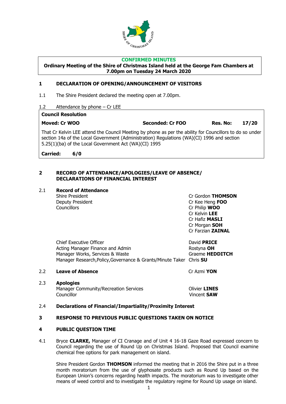

#### **CONFIRMED MINUTES**

**Ordinary Meeting of the Shire of Christmas Island held at the George Fam Chambers at 7.00pm on Tuesday 24 March 2020**

### **1 DECLARATION OF OPENING/ANNOUNCEMENT OF VISITORS**

- 1.1 The Shire President declared the meeting open at 7.00pm.
- 1.2 Attendance by phone Cr LEE

#### **Council Resolution**

**Moved: Cr WOO Seconded: Cr FOO Res. No: 17/20**

That Cr Kelvin LEE attend the Council Meeting by phone as per the ability for Councillors to do so under section 14a of the Local Government (Administration) Regulations (WA)(CI) 1996 and section 5.25(1)(ba) of the Local Government Act (WA)(CI) 1995

**Carried: 6/0**

#### **2 RECORD OF ATTENDANCE/APOLOGIES/LEAVE OF ABSENCE/ DECLARATIONS OF FINANCIAL INTEREST**

#### 2.1 **Record of Attendance**

Deputy President Cr Kee Heng **FOO** Councillors Cr Philip **WOO**

Shire President Cr Gordon **THOMSON** Cr Kelvin **LEE** Cr Hafiz **MASLI** Cr Morgan **SOH** Cr Farzian **ZAINAL**

| Chief Executive Officer                                             | David <b>PRICE</b> |
|---------------------------------------------------------------------|--------------------|
| Acting Manager Finance and Admin                                    | Rostyna <b>OH</b>  |
| Manager Works, Services & Waste                                     | Graeme HEDDITCH    |
| Manager Research, Policy, Governance & Grants/Minute Taker Chris SU |                    |

#### 2.2 **Leave of Absence** Cr Azmi **YON**

2.3 **Apologies** Manager Community/Recreation Services **Community/Recreation Services** Councillor Vincent **SAW**

#### 2.4 **Declarations of Financial/Impartiality/Proximity Interest**

# **3 RESPONSE TO PREVIOUS PUBLIC QUESTIONS TAKEN ON NOTICE**

#### **4 PUBLIC QUESTION TIME**

4.1 Bryce **CLARKE,** Manager of CI Cranage and of Unit 4 16-18 Gaze Road expressed concern to Council regarding the use of Round Up on Christmas Island. Proposed that Council examine chemical free options for park management on island.

Shire President Gordon **THOMSON** informed the meeting that in 2016 the Shire put in a three month moratorium from the use of glyphosate products such as Round Up based on the European Union's concerns regarding health impacts. The moratorium was to investigate other means of weed control and to investigate the regulatory regime for Round Up usage on island.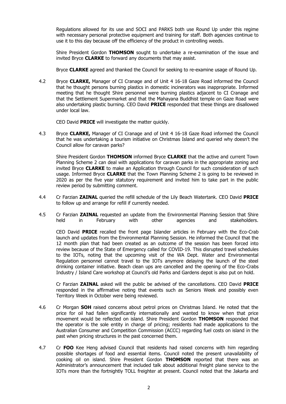Regulations allowed for its use and SOCI and PARKS both use Round Up under this regime with necessary personal protective equipment and training for staff. Both agencies continue to use it to this day because off the efficiency of the product in controlling weeds.

Shire President Gordon **THOMSON** sought to undertake a re-examination of the issue and invited Bryce **CLARKE** to forward any documents that may assist.

Bryce **CLARKE** agreed and thanked the Council for seeking to re-examine usage of Round Up.

4.2 Bryce **CLARKE,** Manager of CI Cranage and of Unit 4 16-18 Gaze Road informed the Council that he thought persons burning plastics in domestic incinerators was inappropriate. Informed meeting that he thought Shire personnel were burning plastics adjacent to CI Cranage and that the Settlement Supermarket and that the Mahayana Buddhist temple on Gaze Road were also undertaking plastic burning. CEO David **PRICE** responded that these things are disallowed under local law.

CEO David **PRICE** will investigate the matter quickly.

4.3 Bryce **CLARKE,** Manager of CI Cranage and of Unit 4 16-18 Gaze Road informed the Council that he was undertaking a tourism initiative on Christmas Island and queried why doesn't the Council allow for caravan parks?

Shire President Gordon **THOMSON** informed Bryce **CLARKE** that the active and current Town Planning Scheme 2 can deal with applications for caravan parks in the appropriate zoning and invited Bryce **CLARKE** to make an Application through Council for such consideration of such usage. Informed Bryce **CLARKE** that the Town Planning Scheme 2 is going to be reviewed in 2020 as per the five year statutory requirement and invited him to take part in the public review period by submitting comment.

- 4.4 Cr Farzian **ZAINAL** queried the refill schedule of the Lily Beach Watertank. CEO David **PRICE**  to follow up and arrange for refill if currently needed.
- 4.5 Cr Farzian **ZAINAL** requested an update from the Environmental Planning Session that Shire held in February with other agencies and stakeholders.

CEO David **PRICE** recalled the front page Islander articles in February with the Eco-Crab launch and updates from the Environmental Planning Session. He informed the Council that the 12 month plan that had been created as an outcome of the session has been forced into review because of the State of Emergency called for COVID-19. This disrupted travel schedules to the IOTs, noting that the upcoming visit of the WA Dept. Water and Environmental Regulation personnel cannot travel to the IOTs anymore delaying the launch of the steel drinking container initiative. Beach clean ups are cancelled and the opening of the Eco-Crabs Industry / Island Care workshop at Council's old Parks and Gardens depot is also put on hold.

Cr Farzian **ZAINAL** asked will the public be advised of the cancellations. CEO David **PRICE** responded in the affirmative noting that events such as Seniors Week and possibly even Territory Week in October were being reviewed.

- 4.6 Cr Morgan **SOH** raised concerns about petrol prices on Christmas Island. He noted that the price for oil had fallen significantly internationally and wanted to know when that price movement would be reflected on island. Shire President Gordon **THOMSON** responded that the operator is the sole entity in charge of pricing; residents had made applications to the Australian Consumer and Competition Commission (ACCC) regarding fuel costs on island in the past when pricing structures in the past concerned them.
- 4.7 Cr **FOO** Kee Heng advised Council that residents had raised concerns with him regarding possible shortages of food and essential items. Council noted the present unavailability of cooking oil on island. Shire President Gordon **THOMSON** reported that there was an Administrator's announcement that included talk about additional freight plane service to the IOTs more than the fortnightly TOLL freighter at present. Council noted that the Jakarta and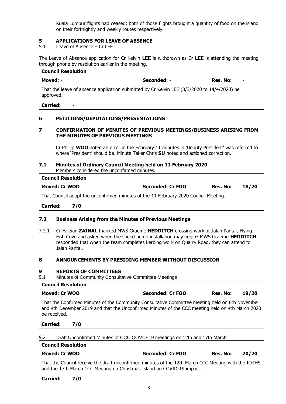Kuala Lumpur flights had ceased; both of those flights brought a quantity of food on the island on their fortnightly and weekly routes respectively.

# **5 APPLICATIONS FOR LEAVE OF ABSENCE**

5.1 Leave of Absence – Cr LEE

The Leave of Absence application for Cr Kelvin **LEE** is withdrawn as Cr **LEE** is attending the meeting through phone by resolution earlier in the meeting.

| <b>Council Resolution</b>                |                                                                                             |                            |
|------------------------------------------|---------------------------------------------------------------------------------------------|----------------------------|
| Moved: -                                 | Seconded: -                                                                                 | Res. No:<br>$\blacksquare$ |
| approved.                                | That the leave of absence application submitted by Cr Kelvin LEE (3/3/2020 to 14/4/2020) be |                            |
| <b>Carried:</b><br>$\blacksquare$        |                                                                                             |                            |
| 6<br>PETITIONS/DEPUTATIONS/PRESENTATIONS |                                                                                             |                            |

#### **7 CONFIRMATION OF MINUTES OF PREVIOUS MEETINGS/BUSINESS ARISING FROM THE MINUTES OF PREVIOUS MEETINGS**

Cr Phillip **WOO** noted an error in the February 11 minutes in 'Deputy President' was referred to where 'President' should be. Minute Taker Chris **SU** noted and actioned correction.

#### **7.1 Minutes of Ordinary Council Meeting held on 11 February 2020** Members considered the unconfirmed minutes.

| <b>Council Resolution</b>                                                           |                  |          |       |
|-------------------------------------------------------------------------------------|------------------|----------|-------|
| <b>Moved: Cr WOO</b>                                                                | Seconded: Cr FOO | Res. No: | 18/20 |
| That Council adopt the unconfirmed minutes of the 11 February 2020 Council Meeting. |                  |          |       |
| Carried:<br>7/0                                                                     |                  |          |       |

# **7.2 Business Arising from the Minutes of Previous Meetings**

7.2.1 Cr Farzian **ZAINAL** thanked MWS Graeme **HEDDITCH** crossing work at Jalan Pantai, Flying Fish Cove and asked when the speed hump installation may begin? MWS Graeme **HEDDITCH**  responded that when the team completes kerbing work on Quarry Road, they can attend to Jalan Pantai.

#### **8 ANNOUNCEMENTS BY PRESIDING MEMBER WITHOUT DISCUSSION**

#### **9 REPORTS OF COMMITTEES**

9.1 Minutes of Community Consultative Committee Meetings

| Counch Resolution |                         |          |       |
|-------------------|-------------------------|----------|-------|
| Moved: Cr WOO     | <b>Seconded: Cr FOO</b> | Res. No: | 19/20 |

That the Confirmed Minutes of the Community Consultative Committee meeting held on 6th November and 4th December 2019 and that the Unconfirmed Minutes of the CCC meeting held on 4th March 2020 be received.

**Carried: 7/0**

**Council Resolution**

**Council Resolution**

9.2 Draft Unconfirmed Minutes of CCC COVID-19 meetings on 12th and 17th March

| Moved: Cr WOO |  |  |  |  |  | Seconded: Cr FOO |  |  |  | Res. No: |   | 20/20       |  |
|---------------|--|--|--|--|--|------------------|--|--|--|----------|---|-------------|--|
|               |  |  |  |  |  | - -              |  |  |  |          | . | _ _ _ _ _ _ |  |

That the Council receive the draft unconfirmed minutes of the 12th March CCC Meeting with the IOTHS and the 17th March CCC Meeting on Christmas Island on COVID-19 impact.

**Carried: 7/0**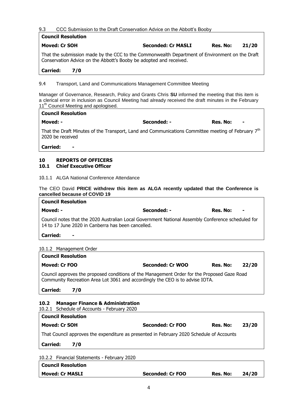#### 9.3 CCC Submission to the Draft Conservation Advice on the Abbott's Booby

| <b>Council Resolution</b>                                                                                                                                                                                                                                                                                                                   |                           |          |       |
|---------------------------------------------------------------------------------------------------------------------------------------------------------------------------------------------------------------------------------------------------------------------------------------------------------------------------------------------|---------------------------|----------|-------|
| <b>Moved: Cr SOH</b>                                                                                                                                                                                                                                                                                                                        | <b>Seconded: Cr MASLI</b> | Res. No: | 21/20 |
| That the submission made by the CCC to the Commonwealth Department of Environment on the Draft<br>Conservation Advice on the Abbott's Booby be adopted and received.                                                                                                                                                                        |                           |          |       |
| <b>Carried:</b><br>7/0                                                                                                                                                                                                                                                                                                                      |                           |          |       |
| 9.4<br>Transport, Land and Communications Management Committee Meeting<br>Manager of Governance, Research, Policy and Grants Chris SU informed the meeting that this item is<br>a clerical error in inclusion as Council Meeting had already received the draft minutes in the February<br>11 <sup>th</sup> Council Meeting and apologised. |                           |          |       |
| <b>Council Resolution</b>                                                                                                                                                                                                                                                                                                                   |                           |          |       |
| Moved: -                                                                                                                                                                                                                                                                                                                                    | Seconded: -               | Res. No: |       |
| That the Draft Minutes of the Transport, Land and Communications Committee meeting of February 7 <sup>th</sup><br>2020 be received                                                                                                                                                                                                          |                           |          |       |
| Carried:                                                                                                                                                                                                                                                                                                                                    |                           |          |       |

 $\overline{\mathsf{I}}$ 

# **10 REPORTS OF OFFICERS**

# **10.1 Chief Executive Officer**

10.1.1 ALGA National Conference Attendance

|  |  |                               |  |  |  |  | The CEO David PRICE withdrew this item as ALGA recently updated that the Conference is |  |
|--|--|-------------------------------|--|--|--|--|----------------------------------------------------------------------------------------|--|
|  |  | cancelled because of COVID 19 |  |  |  |  |                                                                                        |  |

| <b>Council Resolution</b> |             |               |
|---------------------------|-------------|---------------|
| Moved: -                  | Seconded: - | Res. No:<br>۰ |
| $\sim$                    | .           | .             |

Council notes that the 2020 Australian Local Government National Assembly Conference scheduled for 14 to 17 June 2020 in Canberra has been cancelled.

**Carried: -**

# 10.1.2 Management Order

|                 | <b>Council Resolution</b>                                                                                                                                                           |                  |          |       |
|-----------------|-------------------------------------------------------------------------------------------------------------------------------------------------------------------------------------|------------------|----------|-------|
|                 | Moved: Cr FOO                                                                                                                                                                       | Seconded: Cr WOO | Res. No: | 22/20 |
| <b>Carried:</b> | Council approves the proposed conditions of the Management Order for the Proposed Gaze Road<br>Community Recreation Area Lot 3061 and accordingly the CEO is to advise IOTA.<br>7/0 |                  |          |       |
| 10.2            | <b>Manager Finance &amp; Administration</b><br>10.2.1 Schedule of Accounts - February 2020                                                                                          |                  |          |       |
|                 |                                                                                                                                                                                     |                  |          |       |

| <b>Council Resolution</b>                                                                |     |                         |          |       |  |  |  |  |  |
|------------------------------------------------------------------------------------------|-----|-------------------------|----------|-------|--|--|--|--|--|
| Moved: Cr SOH                                                                            |     | <b>Seconded: Cr FOO</b> | Res. No: | 23/20 |  |  |  |  |  |
| That Council approves the expenditure as presented in February 2020 Schedule of Accounts |     |                         |          |       |  |  |  |  |  |
| <b>Carried:</b>                                                                          | 7/0 |                         |          |       |  |  |  |  |  |

|--|

| Moved: Cr MASLI           | Seconded: Cr FOO | Res. No: | 24/20 |  |
|---------------------------|------------------|----------|-------|--|
| <b>Council Resolution</b> |                  |          |       |  |
|                           | ----             |          |       |  |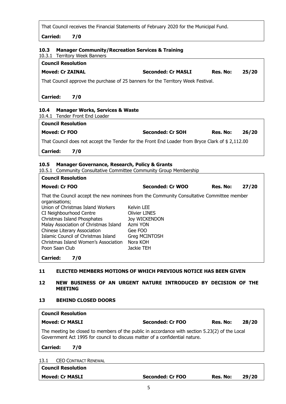That Council receives the Financial Statements of February 2020 for the Municipal Fund.

**Carried: 7/0**

| 10.3.1 Territory Week Banners                                                                               |                                                             |                 |       |
|-------------------------------------------------------------------------------------------------------------|-------------------------------------------------------------|-----------------|-------|
| <b>Council Resolution</b>                                                                                   |                                                             |                 |       |
| <b>Moved: Cr ZAINAL</b>                                                                                     | <b>Seconded: Cr MASLI</b>                                   | Res. No:        | 25/20 |
| That Council approve the purchase of 25 banners for the Territory Week Festival.                            |                                                             |                 |       |
| <b>Carried:</b><br>7/0                                                                                      |                                                             |                 |       |
| 10.4<br><b>Manager Works, Services &amp; Waste</b>                                                          |                                                             |                 |       |
| 10.4.1 Tender Front End Loader                                                                              |                                                             |                 |       |
| <b>Council Resolution</b>                                                                                   |                                                             |                 |       |
| <b>Moved: Cr FOO</b>                                                                                        | Seconded: Cr SOH                                            | Res. No:        | 26/20 |
| That Council does not accept the Tender for the Front End Loader from Bryce Clark of \$2,112.00             |                                                             |                 |       |
| <b>Carried:</b><br>7/0                                                                                      |                                                             |                 |       |
| Manager Governance, Research, Policy & Grants<br>10.5                                                       |                                                             |                 |       |
|                                                                                                             |                                                             |                 |       |
|                                                                                                             | Community Consultative Committee Community Group Membership |                 |       |
| <b>Council Resolution</b>                                                                                   |                                                             |                 |       |
| <b>Moved: Cr FOO</b>                                                                                        | Seconded: Cr WOO                                            | <b>Res. No:</b> | 27/20 |
| That the Council accept the new nominees from the Community Consultative Committee member<br>organisations; |                                                             |                 |       |
| 10.5.1<br>Union of Christmas Island Workers<br>CI Neighbourhood Centre                                      | Kelvin LEE<br><b>Olivier LINES</b>                          |                 |       |

| Christmas Island Phosphates<br>Joy WICKENDON<br>Malay Association of Christmas Island<br>Azmi YON<br>Chinese Literary Association<br>Gee FOO<br>Islamic Council of Christmas Island<br>Greg MCINTOSH<br>Christmas Island Women's Association<br>Nora KOH |
|----------------------------------------------------------------------------------------------------------------------------------------------------------------------------------------------------------------------------------------------------------|
|                                                                                                                                                                                                                                                          |
|                                                                                                                                                                                                                                                          |
|                                                                                                                                                                                                                                                          |
|                                                                                                                                                                                                                                                          |
|                                                                                                                                                                                                                                                          |
| Jackie TEH<br>Poon Saan Club                                                                                                                                                                                                                             |
|                                                                                                                                                                                                                                                          |

**Carried: 7/0**

# **11 ELECTED MEMBERS MOTIONS OF WHICH PREVIOUS NOTICE HAS BEEN GIVEN**

### **12 NEW BUSINESS OF AN URGENT NATURE INTRODUCED BY DECISION OF THE MEETING**

#### **13 BEHIND CLOSED DOORS**

| <b>Council Resolution</b>                                                                                                                                                     |                  |          |       |  |  |
|-------------------------------------------------------------------------------------------------------------------------------------------------------------------------------|------------------|----------|-------|--|--|
| <b>Moved: Cr MASLI</b>                                                                                                                                                        | Seconded: Cr FOO | Res. No: | 28/20 |  |  |
| The meeting be closed to members of the public in accordance with section 5.23(2) of the Local<br>Government Act 1995 for council to discuss matter of a confidential nature. |                  |          |       |  |  |
| <b>Carried:</b><br>7/0                                                                                                                                                        |                  |          |       |  |  |
| <b>CEO CONTRACT RENEWAL</b><br>13.1                                                                                                                                           |                  |          |       |  |  |
| <b>Council Resolution</b>                                                                                                                                                     |                  |          |       |  |  |
| <b>Moved: Cr MASLI</b>                                                                                                                                                        | Seconded: Cr FOO | Res. No: | 29/20 |  |  |